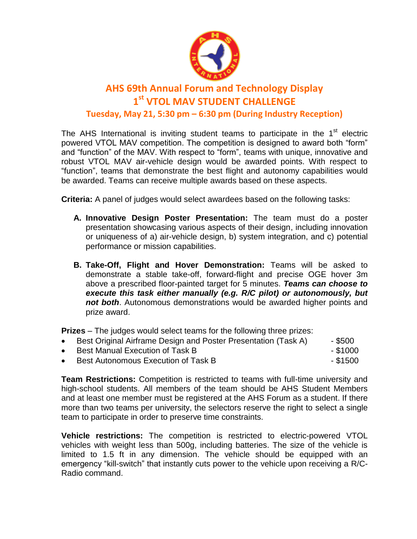

## **AHS 69th Annual Forum and Technology Display 1 st VTOL MAV STUDENT CHALLENGE Tuesday, May 21, 5:30 pm – 6:30 pm (During Industry Reception)**

The AHS International is inviting student teams to participate in the  $1<sup>st</sup>$  electric powered VTOL MAV competition. The competition is designed to award both "form" and "function" of the MAV. With respect to "form", teams with unique, innovative and robust VTOL MAV air-vehicle design would be awarded points. With respect to "function", teams that demonstrate the best flight and autonomy capabilities would be awarded. Teams can receive multiple awards based on these aspects.

**Criteria:** A panel of judges would select awardees based on the following tasks:

- **A. Innovative Design Poster Presentation:** The team must do a poster presentation showcasing various aspects of their design, including innovation or uniqueness of a) air-vehicle design, b) system integration, and c) potential performance or mission capabilities.
- **B. Take-Off, Flight and Hover Demonstration:** Teams will be asked to demonstrate a stable take-off, forward-flight and precise OGE hover 3m above a prescribed floor-painted target for 5 minutes. *Teams can choose to execute this task either manually (e.g. R/C pilot) or autonomously, but not both*. Autonomous demonstrations would be awarded higher points and prize award.

**Prizes** – The judges would select teams for the following three prizes:

- Best Original Airframe Design and Poster Presentation (Task A) \$500
- Best Manual Execution of Task B \$1000
- Best Autonomous Execution of Task B  $\overline{\phantom{1}}$  \$1500

**Team Restrictions:** Competition is restricted to teams with full-time university and high-school students. All members of the team should be AHS Student Members and at least one member must be registered at the AHS Forum as a student. If there more than two teams per university, the selectors reserve the right to select a single team to participate in order to preserve time constraints.

**Vehicle restrictions:** The competition is restricted to electric-powered VTOL vehicles with weight less than 500g, including batteries. The size of the vehicle is limited to 1.5 ft in any dimension. The vehicle should be equipped with an emergency "kill-switch" that instantly cuts power to the vehicle upon receiving a R/C-Radio command.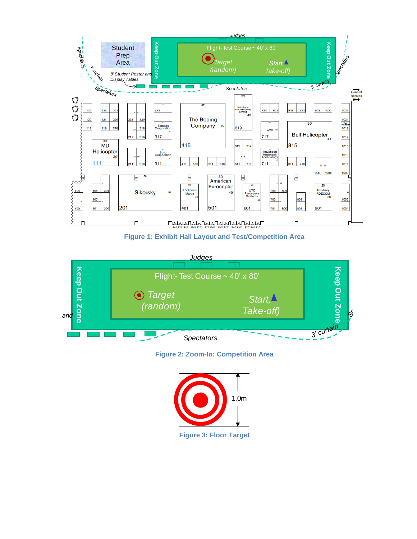

**Figure 1: Exhibit Hall Layout and Test/Competition Area**



**Figure 2: Zoom-In: Competition Area**